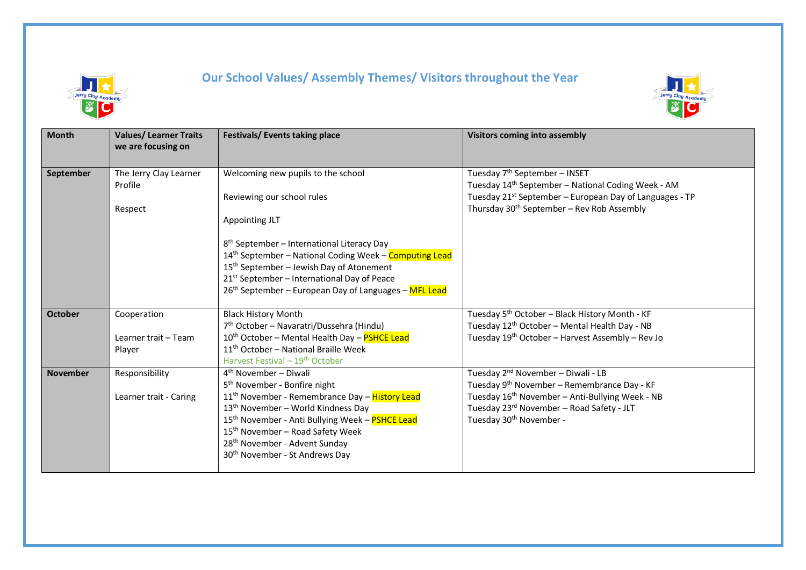

## **Our School Values/ Assembly Themes/ Visitors throughout the Year**



| <b>Month</b>    | <b>Values/Learner Traits</b><br>we are focusing on | Festivals/ Events taking place                                                                               | <b>Visitors coming into assembly</b>                                                                     |
|-----------------|----------------------------------------------------|--------------------------------------------------------------------------------------------------------------|----------------------------------------------------------------------------------------------------------|
|                 |                                                    |                                                                                                              |                                                                                                          |
| September       | The Jerry Clay Learner<br>Profile                  | Welcoming new pupils to the school                                                                           | Tuesday 7 <sup>th</sup> September - INSET<br>Tuesday 14th September - National Coding Week - AM          |
|                 |                                                    | Reviewing our school rules                                                                                   | Tuesday 21 <sup>st</sup> September - European Day of Languages - TP                                      |
|                 | Respect                                            |                                                                                                              | Thursday 30 <sup>th</sup> September - Rev Rob Assembly                                                   |
|                 |                                                    | Appointing JLT                                                                                               |                                                                                                          |
|                 |                                                    | 8 <sup>th</sup> September - International Literacy Day                                                       |                                                                                                          |
|                 |                                                    | 14 <sup>th</sup> September - National Coding Week - Computing Lead                                           |                                                                                                          |
|                 |                                                    | 15 <sup>th</sup> September - Jewish Day of Atonement                                                         |                                                                                                          |
|                 |                                                    | 21 <sup>st</sup> September - International Day of Peace                                                      |                                                                                                          |
|                 |                                                    | 26 <sup>th</sup> September - European Day of Languages - MFL Lead                                            |                                                                                                          |
| <b>October</b>  | Cooperation                                        | <b>Black History Month</b>                                                                                   | Tuesday 5 <sup>th</sup> October - Black History Month - KF                                               |
|                 |                                                    | 7 <sup>th</sup> October - Navaratri/Dussehra (Hindu)                                                         | Tuesday 12 <sup>th</sup> October - Mental Health Day - NB                                                |
|                 | Learner trait - Team                               | 10 <sup>th</sup> October - Mental Health Day - PSHCE Lead                                                    | Tuesday 19 <sup>th</sup> October - Harvest Assembly - Rev Jo                                             |
|                 | Player                                             | 11 <sup>th</sup> October - National Braille Week                                                             |                                                                                                          |
|                 |                                                    | Harvest Festival - 19 <sup>th</sup> October                                                                  |                                                                                                          |
| <b>November</b> | Responsibility                                     | $4th$ November – Diwali                                                                                      | Tuesday 2 <sup>nd</sup> November - Diwali - LB                                                           |
|                 |                                                    | 5 <sup>th</sup> November - Bonfire night                                                                     | Tuesday 9 <sup>th</sup> November - Remembrance Day - KF                                                  |
|                 | Learner trait - Caring                             | 11 <sup>th</sup> November - Remembrance Day - History Lead<br>13 <sup>th</sup> November - World Kindness Day | Tuesday 16 <sup>th</sup> November - Anti-Bullying Week - NB<br>Tuesday 23rd November - Road Safety - JLT |
|                 |                                                    | 15 <sup>th</sup> November - Anti Bullying Week - PSHCE Lead                                                  | Tuesday 30 <sup>th</sup> November -                                                                      |
|                 |                                                    | 15 <sup>th</sup> November - Road Safety Week                                                                 |                                                                                                          |
|                 |                                                    | 28 <sup>th</sup> November - Advent Sunday                                                                    |                                                                                                          |
|                 |                                                    | 30 <sup>th</sup> November - St Andrews Day                                                                   |                                                                                                          |
|                 |                                                    |                                                                                                              |                                                                                                          |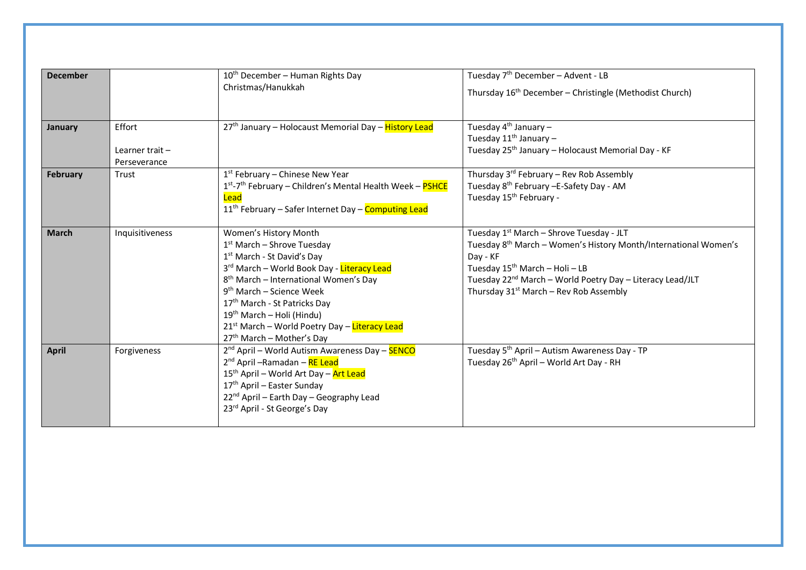| <b>December</b> |                                             | $10th$ December – Human Rights Day<br>Christmas/Hanukkah                                                                                                                                                                                                                                                                                                                                                                              | Tuesday 7 <sup>th</sup> December – Advent - LB<br>Thursday 16 <sup>th</sup> December - Christingle (Methodist Church)                                                                                                                                                                                                        |
|-----------------|---------------------------------------------|---------------------------------------------------------------------------------------------------------------------------------------------------------------------------------------------------------------------------------------------------------------------------------------------------------------------------------------------------------------------------------------------------------------------------------------|------------------------------------------------------------------------------------------------------------------------------------------------------------------------------------------------------------------------------------------------------------------------------------------------------------------------------|
| January         | Effort<br>Learner trait $-$<br>Perseverance | 27 <sup>th</sup> January - Holocaust Memorial Day - History Lead                                                                                                                                                                                                                                                                                                                                                                      | Tuesday 4 <sup>th</sup> January –<br>Tuesday 11 <sup>th</sup> January -<br>Tuesday 25 <sup>th</sup> January - Holocaust Memorial Day - KF                                                                                                                                                                                    |
| <b>February</b> | Trust                                       | $1st$ February – Chinese New Year<br>1 <sup>st</sup> -7 <sup>th</sup> February - Children's Mental Health Week - PSHCE<br>Lead<br>11 <sup>th</sup> February - Safer Internet Day - Computing Lead                                                                                                                                                                                                                                     | Thursday 3 <sup>rd</sup> February - Rev Rob Assembly<br>Tuesday 8 <sup>th</sup> February -E-Safety Day - AM<br>Tuesday 15 <sup>th</sup> February -                                                                                                                                                                           |
| <b>March</b>    | Inquisitiveness                             | Women's History Month<br>1 <sup>st</sup> March - Shrove Tuesday<br>1 <sup>st</sup> March - St David's Day<br>3rd March - World Book Day - Literacy Lead<br>8 <sup>th</sup> March - International Women's Day<br>$9th$ March – Science Week<br>17 <sup>th</sup> March - St Patricks Day<br>19 <sup>th</sup> March - Holi (Hindu)<br>21 <sup>st</sup> March - World Poetry Day - Literacy Lead<br>27 <sup>th</sup> March - Mother's Day | Tuesday 1 <sup>st</sup> March – Shrove Tuesday - JLT<br>Tuesday 8 <sup>th</sup> March – Women's History Month/International Women's<br>Day - KF<br>Tuesday 15 <sup>th</sup> March - Holi - LB<br>Tuesday 22 <sup>nd</sup> March – World Poetry Day – Literacy Lead/JLT<br>Thursday 31 <sup>st</sup> March - Rev Rob Assembly |
| <b>April</b>    | Forgiveness                                 | 2 <sup>nd</sup> April – World Autism Awareness Day – <b>SENCO</b><br>2 <sup>nd</sup> April - Ramadan - RE Lead<br>15 <sup>th</sup> April - World Art Day - Art Lead<br>17 <sup>th</sup> April - Easter Sunday<br>22 <sup>nd</sup> April - Earth Day - Geography Lead<br>23rd April - St George's Day                                                                                                                                  | Tuesday 5 <sup>th</sup> April – Autism Awareness Day - TP<br>Tuesday 26 <sup>th</sup> April - World Art Day - RH                                                                                                                                                                                                             |